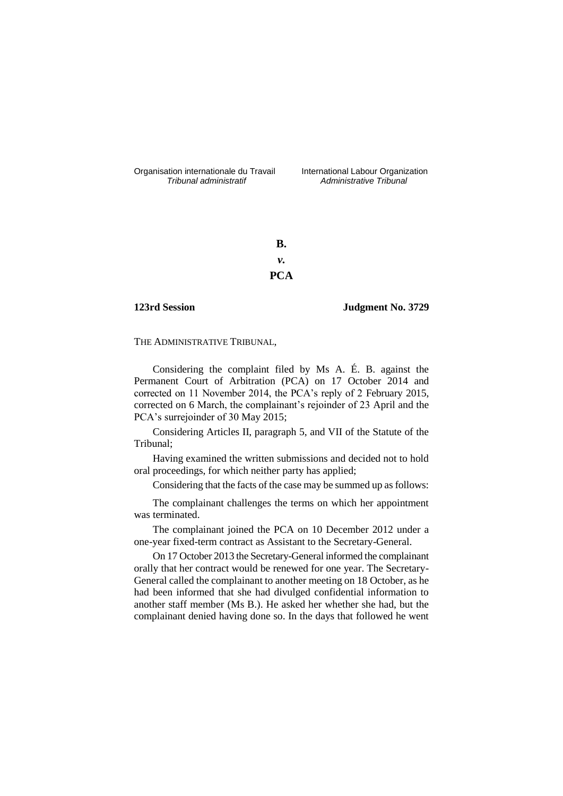Organisation internationale du Travail International Labour Organization<br>*Tribunal administratif Administrative Tribunal* 

*Tribunal administratif Administrative Tribunal*

**B.** *v.* **PCA**

**123rd Session Judgment No. 3729**

THE ADMINISTRATIVE TRIBUNAL,

Considering the complaint filed by Ms A. É. B. against the Permanent Court of Arbitration (PCA) on 17 October 2014 and corrected on 11 November 2014, the PCA's reply of 2 February 2015, corrected on 6 March, the complainant's rejoinder of 23 April and the PCA's surrejoinder of 30 May 2015;

Considering Articles II, paragraph 5, and VII of the Statute of the Tribunal;

Having examined the written submissions and decided not to hold oral proceedings, for which neither party has applied;

Considering that the facts of the case may be summed up as follows:

The complainant challenges the terms on which her appointment was terminated.

The complainant joined the PCA on 10 December 2012 under a one-year fixed-term contract as Assistant to the Secretary-General.

On 17 October 2013 the Secretary-General informed the complainant orally that her contract would be renewed for one year. The Secretary-General called the complainant to another meeting on 18 October, as he had been informed that she had divulged confidential information to another staff member (Ms B.). He asked her whether she had, but the complainant denied having done so. In the days that followed he went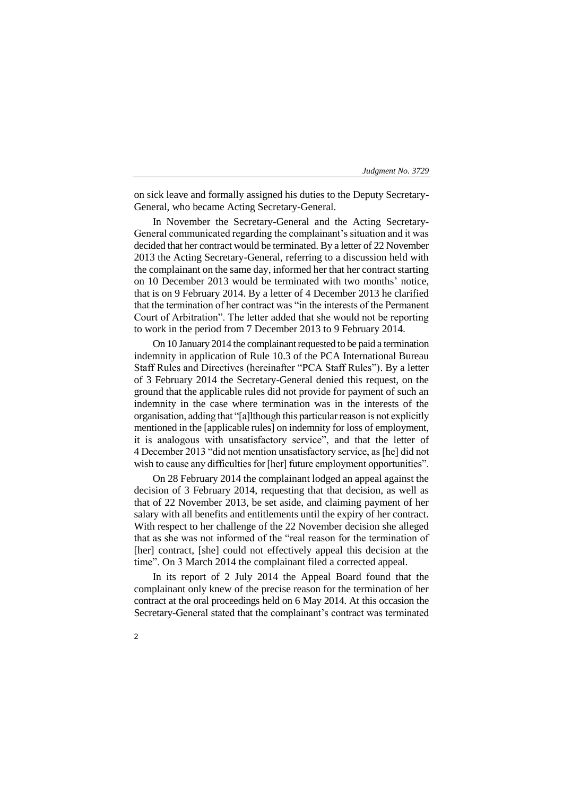on sick leave and formally assigned his duties to the Deputy Secretary-General, who became Acting Secretary-General.

In November the Secretary-General and the Acting Secretary-General communicated regarding the complainant's situation and it was decided that her contract would be terminated. By a letter of 22 November 2013 the Acting Secretary-General, referring to a discussion held with the complainant on the same day, informed her that her contract starting on 10 December 2013 would be terminated with two months' notice, that is on 9 February 2014. By a letter of 4 December 2013 he clarified that the termination of her contract was "in the interests of the Permanent Court of Arbitration". The letter added that she would not be reporting to work in the period from 7 December 2013 to 9 February 2014.

On 10 January 2014 the complainant requested to be paid a termination indemnity in application of Rule 10.3 of the PCA International Bureau Staff Rules and Directives (hereinafter "PCA Staff Rules"). By a letter of 3 February 2014 the Secretary-General denied this request, on the ground that the applicable rules did not provide for payment of such an indemnity in the case where termination was in the interests of the organisation, adding that "[a]lthough this particular reason is not explicitly mentioned in the [applicable rules] on indemnity for loss of employment, it is analogous with unsatisfactory service", and that the letter of 4 December 2013 "did not mention unsatisfactory service, as [he] did not wish to cause any difficulties for [her] future employment opportunities".

On 28 February 2014 the complainant lodged an appeal against the decision of 3 February 2014, requesting that that decision, as well as that of 22 November 2013, be set aside, and claiming payment of her salary with all benefits and entitlements until the expiry of her contract. With respect to her challenge of the 22 November decision she alleged that as she was not informed of the "real reason for the termination of [her] contract, [she] could not effectively appeal this decision at the time". On 3 March 2014 the complainant filed a corrected appeal.

In its report of 2 July 2014 the Appeal Board found that the complainant only knew of the precise reason for the termination of her contract at the oral proceedings held on 6 May 2014. At this occasion the Secretary-General stated that the complainant's contract was terminated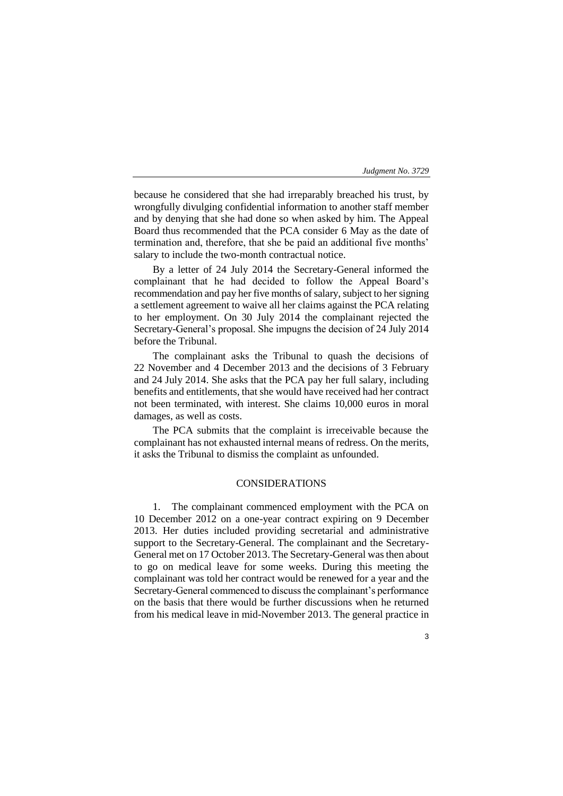3

because he considered that she had irreparably breached his trust, by wrongfully divulging confidential information to another staff member and by denying that she had done so when asked by him. The Appeal Board thus recommended that the PCA consider 6 May as the date of termination and, therefore, that she be paid an additional five months' salary to include the two-month contractual notice.

By a letter of 24 July 2014 the Secretary-General informed the complainant that he had decided to follow the Appeal Board's recommendation and pay her five months of salary, subject to her signing a settlement agreement to waive all her claims against the PCA relating to her employment. On 30 July 2014 the complainant rejected the Secretary-General's proposal. She impugns the decision of 24 July 2014 before the Tribunal.

The complainant asks the Tribunal to quash the decisions of 22 November and 4 December 2013 and the decisions of 3 February and 24 July 2014. She asks that the PCA pay her full salary, including benefits and entitlements, that she would have received had her contract not been terminated, with interest. She claims 10,000 euros in moral damages, as well as costs.

The PCA submits that the complaint is irreceivable because the complainant has not exhausted internal means of redress. On the merits, it asks the Tribunal to dismiss the complaint as unfounded.

# CONSIDERATIONS

1. The complainant commenced employment with the PCA on 10 December 2012 on a one-year contract expiring on 9 December 2013. Her duties included providing secretarial and administrative support to the Secretary-General. The complainant and the Secretary-General met on 17 October 2013. The Secretary-General was then about to go on medical leave for some weeks. During this meeting the complainant was told her contract would be renewed for a year and the Secretary-General commenced to discuss the complainant's performance on the basis that there would be further discussions when he returned from his medical leave in mid-November 2013. The general practice in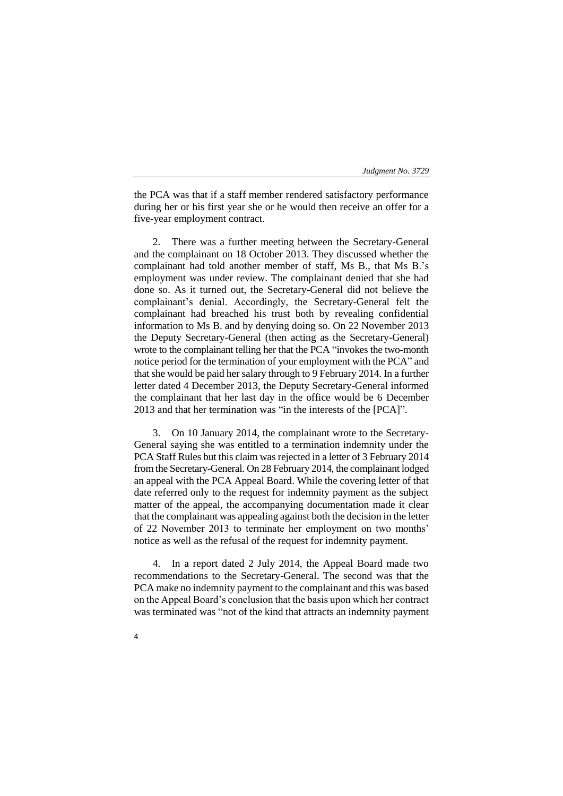the PCA was that if a staff member rendered satisfactory performance during her or his first year she or he would then receive an offer for a five-year employment contract.

2. There was a further meeting between the Secretary-General and the complainant on 18 October 2013. They discussed whether the complainant had told another member of staff, Ms B., that Ms B.'s employment was under review. The complainant denied that she had done so. As it turned out, the Secretary-General did not believe the complainant's denial. Accordingly, the Secretary-General felt the complainant had breached his trust both by revealing confidential information to Ms B. and by denying doing so. On 22 November 2013 the Deputy Secretary-General (then acting as the Secretary-General) wrote to the complainant telling her that the PCA "invokes the two-month notice period for the termination of your employment with the PCA" and that she would be paid her salary through to 9 February 2014. In a further letter dated 4 December 2013, the Deputy Secretary-General informed the complainant that her last day in the office would be 6 December 2013 and that her termination was "in the interests of the [PCA]".

3. On 10 January 2014, the complainant wrote to the Secretary-General saying she was entitled to a termination indemnity under the PCA Staff Rules but this claim was rejected in a letter of 3 February 2014 from the Secretary-General. On 28 February 2014, the complainant lodged an appeal with the PCA Appeal Board. While the covering letter of that date referred only to the request for indemnity payment as the subject matter of the appeal, the accompanying documentation made it clear that the complainant was appealing against both the decision in the letter of 22 November 2013 to terminate her employment on two months' notice as well as the refusal of the request for indemnity payment.

4. In a report dated 2 July 2014, the Appeal Board made two recommendations to the Secretary-General. The second was that the PCA make no indemnity payment to the complainant and this was based on the Appeal Board's conclusion that the basis upon which her contract was terminated was "not of the kind that attracts an indemnity payment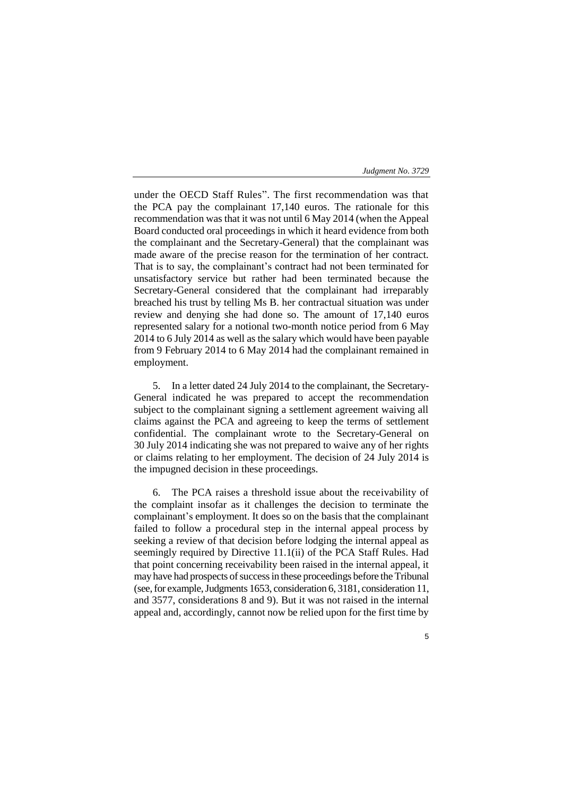under the OECD Staff Rules". The first recommendation was that the PCA pay the complainant 17,140 euros. The rationale for this recommendation was that it was not until 6 May 2014 (when the Appeal Board conducted oral proceedings in which it heard evidence from both the complainant and the Secretary-General) that the complainant was made aware of the precise reason for the termination of her contract. That is to say, the complainant's contract had not been terminated for unsatisfactory service but rather had been terminated because the Secretary-General considered that the complainant had irreparably breached his trust by telling Ms B. her contractual situation was under review and denying she had done so. The amount of 17,140 euros represented salary for a notional two-month notice period from 6 May 2014 to 6 July 2014 as well as the salary which would have been payable from 9 February 2014 to 6 May 2014 had the complainant remained in employment.

5. In a letter dated 24 July 2014 to the complainant, the Secretary-General indicated he was prepared to accept the recommendation subject to the complainant signing a settlement agreement waiving all claims against the PCA and agreeing to keep the terms of settlement confidential. The complainant wrote to the Secretary-General on 30 July 2014 indicating she was not prepared to waive any of her rights or claims relating to her employment. The decision of 24 July 2014 is the impugned decision in these proceedings.

6. The PCA raises a threshold issue about the receivability of the complaint insofar as it challenges the decision to terminate the complainant's employment. It does so on the basis that the complainant failed to follow a procedural step in the internal appeal process by seeking a review of that decision before lodging the internal appeal as seemingly required by Directive 11.1(ii) of the PCA Staff Rules. Had that point concerning receivability been raised in the internal appeal, it may have had prospects of success in these proceedings before the Tribunal (see, for example, Judgments 1653, consideration 6, 3181, consideration 11, and 3577, considerations 8 and 9). But it was not raised in the internal appeal and, accordingly, cannot now be relied upon for the first time by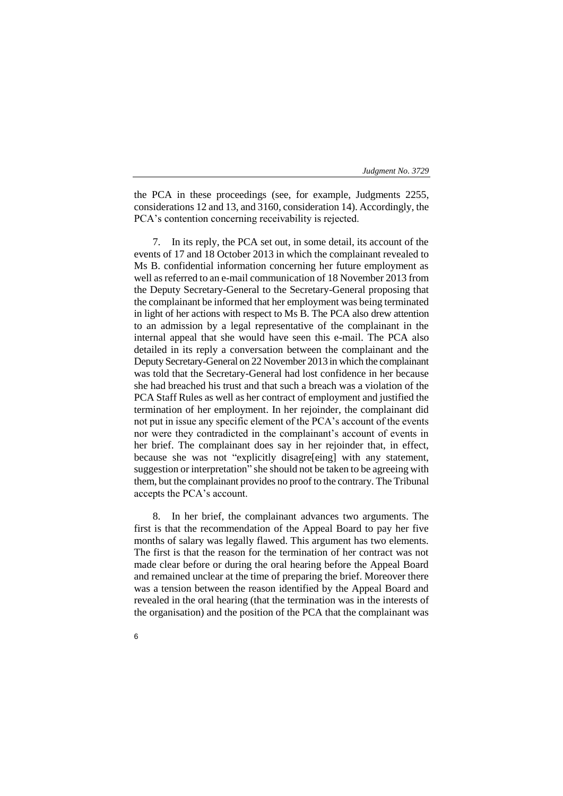the PCA in these proceedings (see, for example, Judgments 2255, considerations 12 and 13, and 3160, consideration 14). Accordingly, the PCA's contention concerning receivability is rejected.

7. In its reply, the PCA set out, in some detail, its account of the events of 17 and 18 October 2013 in which the complainant revealed to Ms B. confidential information concerning her future employment as well as referred to an e-mail communication of 18 November 2013 from the Deputy Secretary-General to the Secretary-General proposing that the complainant be informed that her employment was being terminated in light of her actions with respect to Ms B. The PCA also drew attention to an admission by a legal representative of the complainant in the internal appeal that she would have seen this e-mail. The PCA also detailed in its reply a conversation between the complainant and the Deputy Secretary-General on 22 November 2013 in which the complainant was told that the Secretary-General had lost confidence in her because she had breached his trust and that such a breach was a violation of the PCA Staff Rules as well as her contract of employment and justified the termination of her employment. In her rejoinder, the complainant did not put in issue any specific element of the PCA's account of the events nor were they contradicted in the complainant's account of events in her brief. The complainant does say in her rejoinder that, in effect, because she was not "explicitly disagre[eing] with any statement, suggestion or interpretation" she should not be taken to be agreeing with them, but the complainant provides no proof to the contrary. The Tribunal accepts the PCA's account.

8. In her brief, the complainant advances two arguments. The first is that the recommendation of the Appeal Board to pay her five months of salary was legally flawed. This argument has two elements. The first is that the reason for the termination of her contract was not made clear before or during the oral hearing before the Appeal Board and remained unclear at the time of preparing the brief. Moreover there was a tension between the reason identified by the Appeal Board and revealed in the oral hearing (that the termination was in the interests of the organisation) and the position of the PCA that the complainant was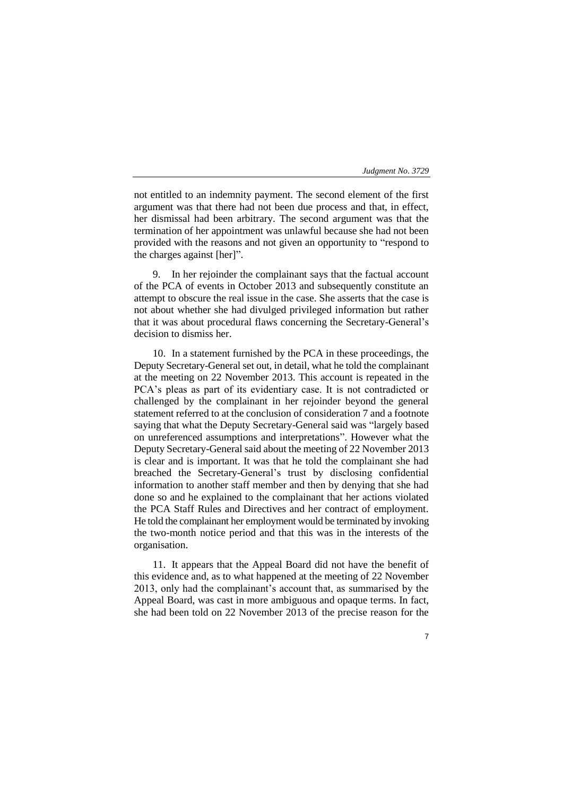not entitled to an indemnity payment. The second element of the first argument was that there had not been due process and that, in effect, her dismissal had been arbitrary. The second argument was that the termination of her appointment was unlawful because she had not been provided with the reasons and not given an opportunity to "respond to the charges against [her]".

9. In her rejoinder the complainant says that the factual account of the PCA of events in October 2013 and subsequently constitute an attempt to obscure the real issue in the case. She asserts that the case is not about whether she had divulged privileged information but rather that it was about procedural flaws concerning the Secretary-General's decision to dismiss her.

10. In a statement furnished by the PCA in these proceedings, the Deputy Secretary-General set out, in detail, what he told the complainant at the meeting on 22 November 2013. This account is repeated in the PCA's pleas as part of its evidentiary case. It is not contradicted or challenged by the complainant in her rejoinder beyond the general statement referred to at the conclusion of consideration 7 and a footnote saying that what the Deputy Secretary-General said was "largely based on unreferenced assumptions and interpretations". However what the Deputy Secretary-General said about the meeting of 22 November 2013 is clear and is important. It was that he told the complainant she had breached the Secretary-General's trust by disclosing confidential information to another staff member and then by denying that she had done so and he explained to the complainant that her actions violated the PCA Staff Rules and Directives and her contract of employment. He told the complainant her employment would be terminated by invoking the two-month notice period and that this was in the interests of the organisation.

11. It appears that the Appeal Board did not have the benefit of this evidence and, as to what happened at the meeting of 22 November 2013, only had the complainant's account that, as summarised by the Appeal Board, was cast in more ambiguous and opaque terms. In fact, she had been told on 22 November 2013 of the precise reason for the